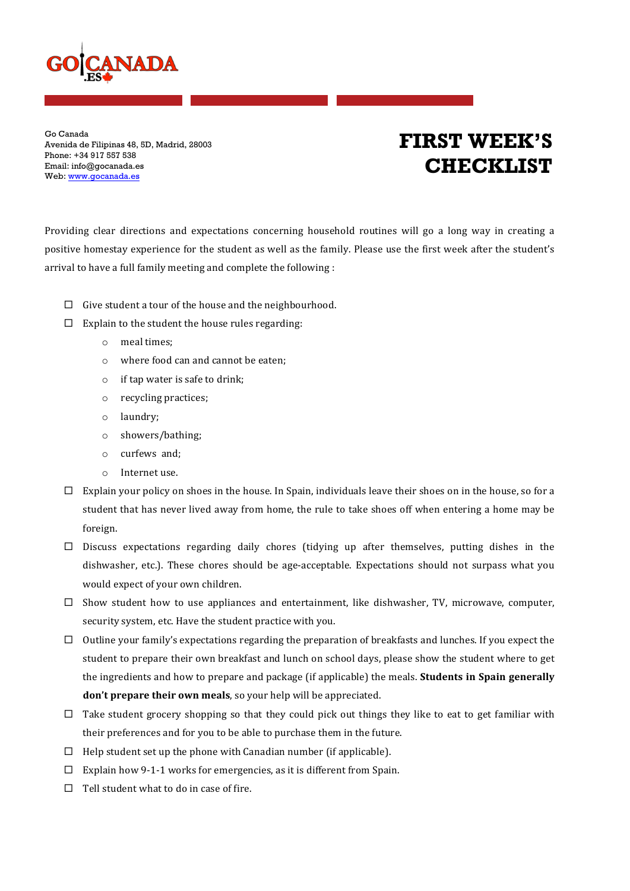

Go Canada Avenida de Filipinas 48, 5D, Madrid, 28003 Phone: +34 917 557 538 Email: info@gocanada.es Web: www.gocanada.es

## **FIRST WEEK'S CHECKLIST**

Providing clear directions and expectations concerning household routines will go a long way in creating a positive homestay experience for the student as well as the family. Please use the first week after the student's arrival to have a full family meeting and complete the following :

- $\Box$  Give student a tour of the house and the neighbourhood.
- $\square$  Explain to the student the house rules regarding:
	- o meal times;
	- $\circ$  where food can and cannot be eaten;
	- $\circ$  if tap water is safe to drink;
	- $\circ$  recycling practices;
	- o laundry;
	- o showers/bathing;
	- o curfews and;
	- $\circ$  Internet use.
- $\Box$  Explain your policy on shoes in the house. In Spain, individuals leave their shoes on in the house, so for a student that has never lived away from home, the rule to take shoes off when entering a home may be foreign.
- $\square$  Discuss expectations regarding daily chores (tidying up after themselves, putting dishes in the dishwasher, etc.). These chores should be age-acceptable. Expectations should not surpass what you would expect of your own children.
- $\square$  Show student how to use appliances and entertainment, like dishwasher, TV, microwave, computer, security system, etc. Have the student practice with you.
- $\Box$  Outline your family's expectations regarding the preparation of breakfasts and lunches. If you expect the student to prepare their own breakfast and lunch on school days, please show the student where to get the ingredients and how to prepare and package (if applicable) the meals. **Students in Spain generally don't prepare their own meals**, so your help will be appreciated.
- $\Box$  Take student grocery shopping so that they could pick out things they like to eat to get familiar with their preferences and for you to be able to purchase them in the future.
- $\Box$  Help student set up the phone with Canadian number (if applicable).
- $\square$  Explain how 9-1-1 works for emergencies, as it is different from Spain.
- $\Box$  Tell student what to do in case of fire.